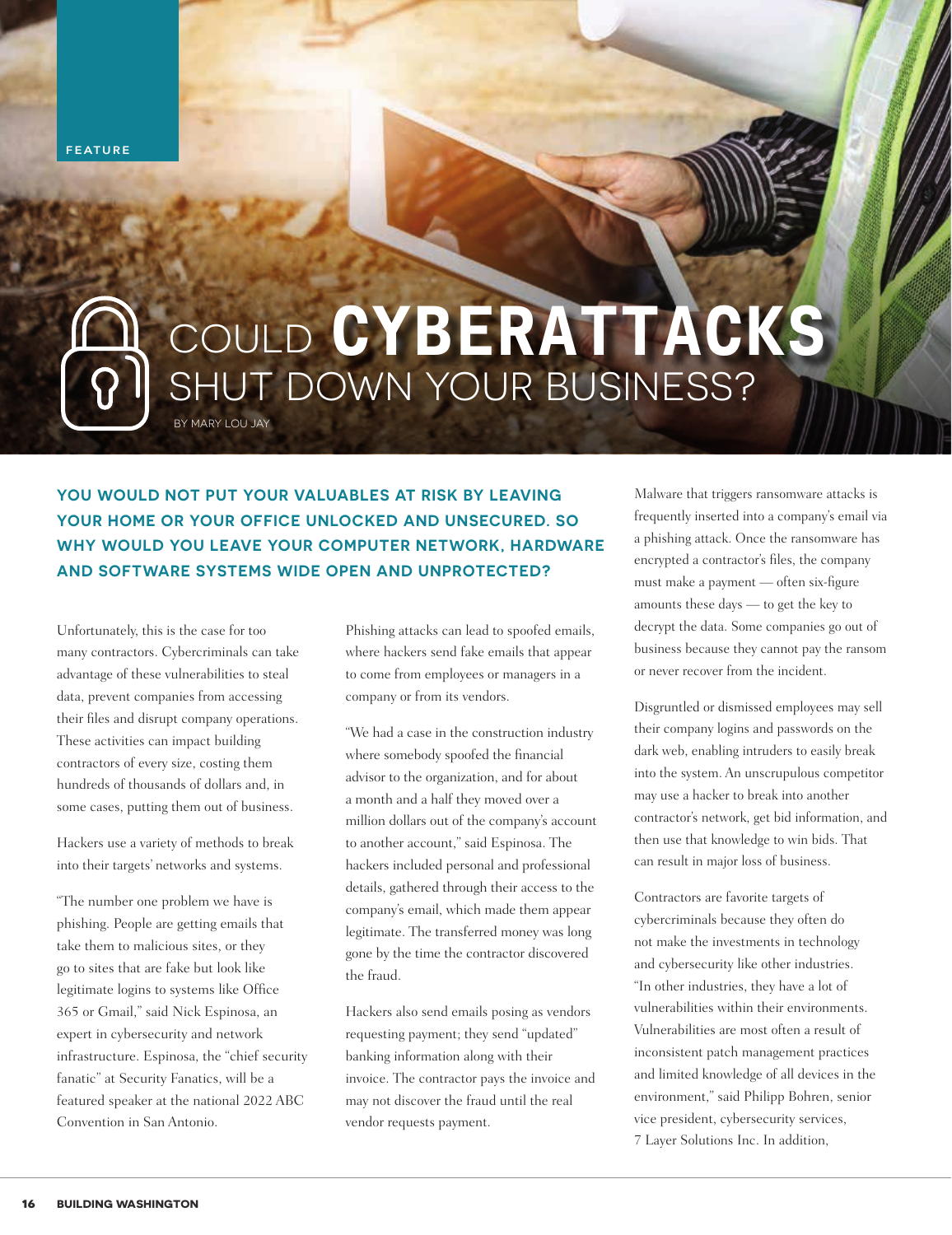**FEATURE**

# BY MARY LOU JAY COULD SHUT DOWN YOUR BUSINESS? **CYBERATTACKS**

**YOU WOULD NOT PUT YOUR VALUABLES AT RISK BY LEAVING YOUR HOME OR YOUR OFFICE UNLOCKED AND UNSECURED. SO WHY WOULD YOU LEAVE YOUR COMPUTER NETWORK, HARDWARE AND SOFTWARE SYSTEMS WIDE OPEN AND UNPROTECTED?**

Unfortunately, this is the case for too many contractors. Cybercriminals can take advantage of these vulnerabilities to steal data, prevent companies from accessing their files and disrupt company operations. These activities can impact building contractors of every size, costing them hundreds of thousands of dollars and, in some cases, putting them out of business.

Hackers use a variety of methods to break into their targets' networks and systems.

"The number one problem we have is phishing. People are getting emails that take them to malicious sites, or they go to sites that are fake but look like legitimate logins to systems like Office 365 or Gmail," said Nick Espinosa, an expert in cybersecurity and network infrastructure. Espinosa, the "chief security fanatic" at Security Fanatics, will be a featured speaker at the national 2022 ABC Convention in San Antonio.

Phishing attacks can lead to spoofed emails, where hackers send fake emails that appear to come from employees or managers in a company or from its vendors.

"We had a case in the construction industry where somebody spoofed the financial advisor to the organization, and for about a month and a half they moved over a million dollars out of the company's account to another account," said Espinosa. The hackers included personal and professional details, gathered through their access to the company's email, which made them appear legitimate. The transferred money was long gone by the time the contractor discovered the fraud.

Hackers also send emails posing as vendors requesting payment; they send "updated" banking information along with their invoice. The contractor pays the invoice and may not discover the fraud until the real vendor requests payment.

Malware that triggers ransomware attacks is frequently inserted into a company's email via a phishing attack. Once the ransomware has encrypted a contractor's files, the company must make a payment — often six-figure amounts these days — to get the key to decrypt the data. Some companies go out of business because they cannot pay the ransom or never recover from the incident.

Disgruntled or dismissed employees may sell their company logins and passwords on the dark web, enabling intruders to easily break into the system. An unscrupulous competitor may use a hacker to break into another contractor's network, get bid information, and then use that knowledge to win bids. That can result in major loss of business.

Contractors are favorite targets of cybercriminals because they often do not make the investments in technology and cybersecurity like other industries. "In other industries, they have a lot of vulnerabilities within their environments. Vulnerabilities are most often a result of inconsistent patch management practices and limited knowledge of all devices in the environment," said Philipp Bohren, senior vice president, cybersecurity services, 7 Layer Solutions Inc. In addition,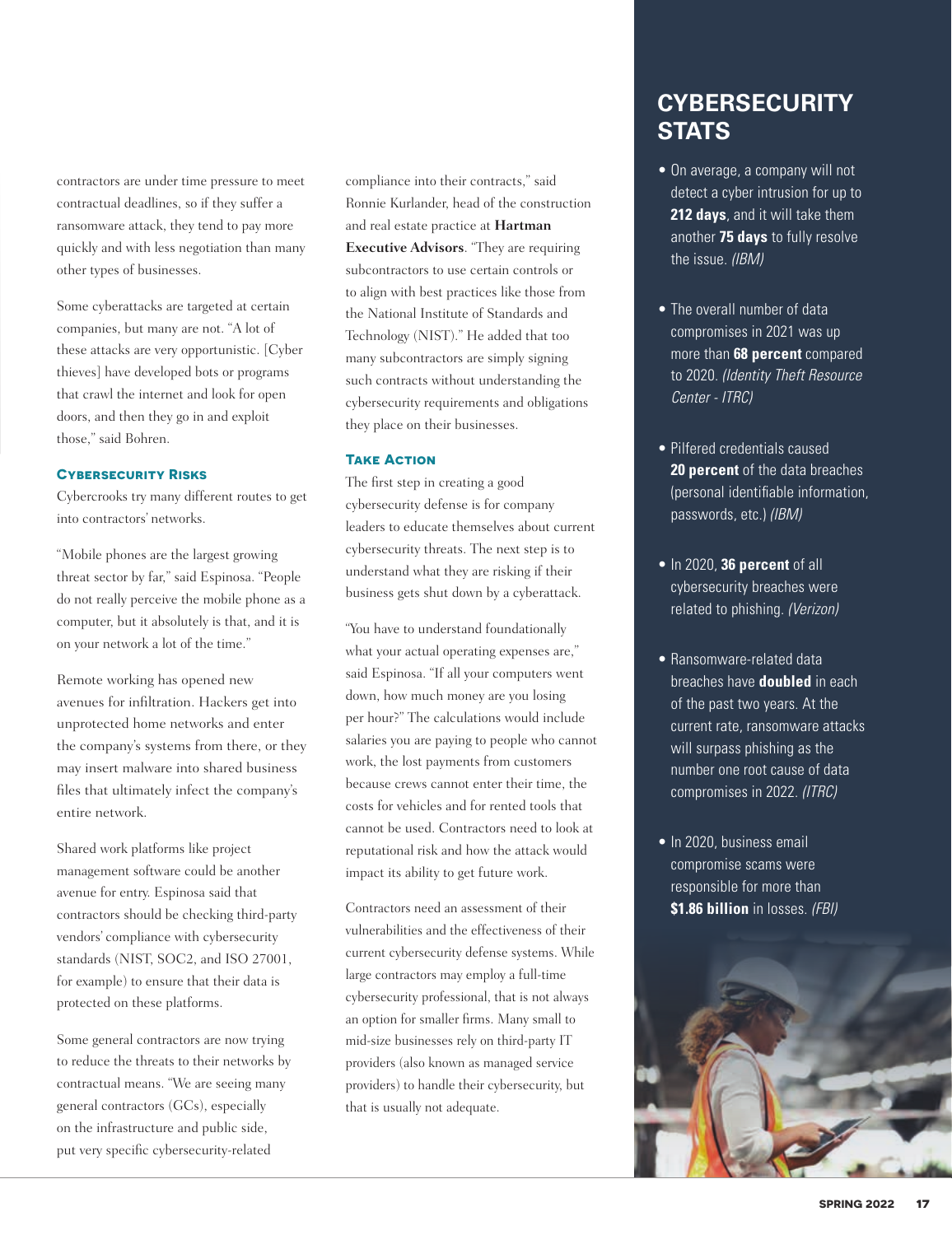contractors are under time pressure to meet contractual deadlines, so if they suffer a ransomware attack, they tend to pay more quickly and with less negotiation than many other types of businesses.

Some cyberattacks are targeted at certain companies, but many are not. "A lot of these attacks are very opportunistic. [Cyber thieves] have developed bots or programs that crawl the internet and look for open doors, and then they go in and exploit those," said Bohren.

#### **Cybersecurity Risks**

Cybercrooks try many different routes to get into contractors' networks.

"Mobile phones are the largest growing threat sector by far," said Espinosa. "People do not really perceive the mobile phone as a computer, but it absolutely is that, and it is on your network a lot of the time."

Remote working has opened new avenues for infiltration. Hackers get into unprotected home networks and enter the company's systems from there, or they may insert malware into shared business files that ultimately infect the company's entire network.

Shared work platforms like project management software could be another avenue for entry. Espinosa said that contractors should be checking third-party vendors' compliance with cybersecurity standards (NIST, SOC2, and ISO 27001, for example) to ensure that their data is protected on these platforms.

Some general contractors are now trying to reduce the threats to their networks by contractual means. "We are seeing many general contractors (GCs), especially on the infrastructure and public side, put very specific cybersecurity-related

compliance into their contracts," said Ronnie Kurlander, head of the construction and real estate practice at **Hartman Executive Advisors**. "They are requiring subcontractors to use certain controls or to align with best practices like those from the National Institute of Standards and Technology (NIST)." He added that too many subcontractors are simply signing such contracts without understanding the cybersecurity requirements and obligations they place on their businesses.

#### **TAKE ACTION**

The first step in creating a good cybersecurity defense is for company leaders to educate themselves about current cybersecurity threats. The next step is to understand what they are risking if their business gets shut down by a cyberattack.

"You have to understand foundationally what your actual operating expenses are," said Espinosa. "If all your computers went down, how much money are you losing per hour?" The calculations would include salaries you are paying to people who cannot work, the lost payments from customers because crews cannot enter their time, the costs for vehicles and for rented tools that cannot be used. Contractors need to look at reputational risk and how the attack would impact its ability to get future work.

Contractors need an assessment of their vulnerabilities and the effectiveness of their current cybersecurity defense systems. While large contractors may employ a full-time cybersecurity professional, that is not always an option for smaller firms. Many small to mid-size businesses rely on third-party IT providers (also known as managed service providers) to handle their cybersecurity, but that is usually not adequate.

### **CYBERSECURITY STATS**

- On average, a company will not detect a cyber intrusion for up to **212 days**, and it will take them another **75 days** to fully resolve the issue. *(IBM)*
- The overall number of data compromises in 2021 was up more than **68 percent** compared to 2020. *(Identity Theft Resource Center - ITRC)*
- Pilfered credentials caused **20 percent** of the data breaches (personal identifiable information, passwords, etc.) *(IBM)*
- In 2020, **36 percent** of all cybersecurity breaches were related to phishing. *(Verizon)*
- Ransomware-related data breaches have **doubled** in each of the past two years. At the current rate, ransomware attacks will surpass phishing as the number one root cause of data compromises in 2022. *(ITRC)*
- In 2020, business email compromise scams were responsible for more than **\$1.86 billion** in losses. *(FBI)*

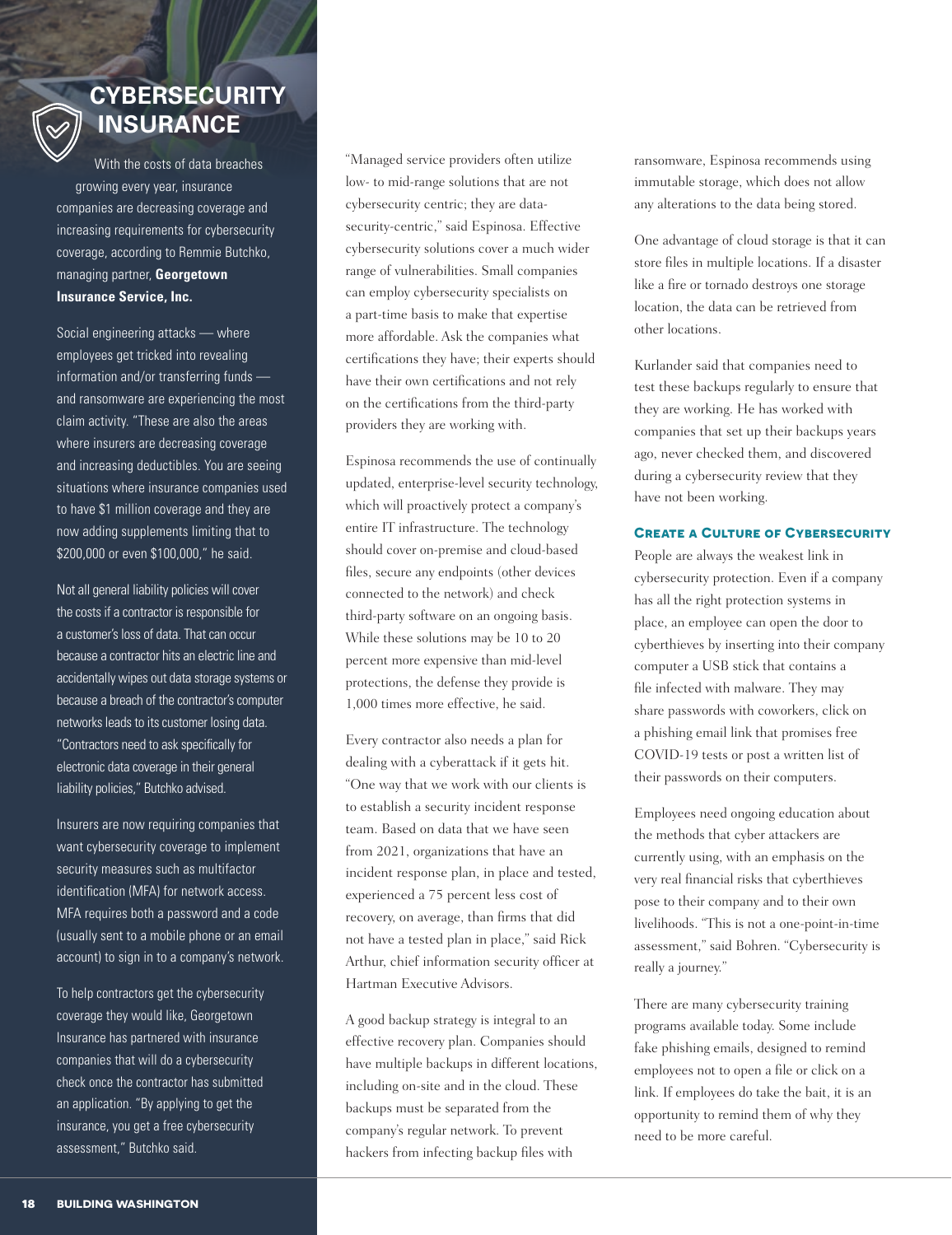### **CYBERSECURITY INSURANCE**

With the costs of data breaches growing every year, insurance companies are decreasing coverage and increasing requirements for cybersecurity coverage, according to Remmie Butchko, managing partner, **Georgetown Insurance Service, Inc.**

Social engineering attacks — where employees get tricked into revealing information and/or transferring funds and ransomware are experiencing the most claim activity. "These are also the areas where insurers are decreasing coverage and increasing deductibles. You are seeing situations where insurance companies used to have \$1 million coverage and they are now adding supplements limiting that to \$200,000 or even \$100,000," he said.

Not all general liability policies will cover the costs if a contractor is responsible for a customer's loss of data. That can occur because a contractor hits an electric line and accidentally wipes out data storage systems or because a breach of the contractor's computer networks leads to its customer losing data. "Contractors need to ask specifically for electronic data coverage in their general liability policies," Butchko advised.

Insurers are now requiring companies that want cybersecurity coverage to implement security measures such as multifactor identification (MFA) for network access. MFA requires both a password and a code (usually sent to a mobile phone or an email account) to sign in to a company's network.

To help contractors get the cybersecurity coverage they would like, Georgetown Insurance has partnered with insurance companies that will do a cybersecurity check once the contractor has submitted an application. "By applying to get the insurance, you get a free cybersecurity assessment," Butchko said.

"Managed service providers often utilize low- to mid-range solutions that are not cybersecurity centric; they are datasecurity-centric," said Espinosa. Effective cybersecurity solutions cover a much wider range of vulnerabilities. Small companies can employ cybersecurity specialists on a part-time basis to make that expertise more affordable. Ask the companies what certifications they have; their experts should have their own certifications and not rely on the certifications from the third-party providers they are working with.

Espinosa recommends the use of continually updated, enterprise-level security technology, which will proactively protect a company's entire IT infrastructure. The technology should cover on-premise and cloud-based files, secure any endpoints (other devices connected to the network) and check third-party software on an ongoing basis. While these solutions may be 10 to 20 percent more expensive than mid-level protections, the defense they provide is 1,000 times more effective, he said.

Every contractor also needs a plan for dealing with a cyberattack if it gets hit. "One way that we work with our clients is to establish a security incident response team. Based on data that we have seen from 2021, organizations that have an incident response plan, in place and tested, experienced a 75 percent less cost of recovery, on average, than firms that did not have a tested plan in place," said Rick Arthur, chief information security officer at Hartman Executive Advisors.

A good backup strategy is integral to an effective recovery plan. Companies should have multiple backups in different locations, including on-site and in the cloud. These backups must be separated from the company's regular network. To prevent hackers from infecting backup files with

ransomware, Espinosa recommends using immutable storage, which does not allow any alterations to the data being stored.

One advantage of cloud storage is that it can store files in multiple locations. If a disaster like a fire or tornado destroys one storage location, the data can be retrieved from other locations.

Kurlander said that companies need to test these backups regularly to ensure that they are working. He has worked with companies that set up their backups years ago, never checked them, and discovered during a cybersecurity review that they have not been working.

#### **Create a Culture of Cybersecurity**

People are always the weakest link in cybersecurity protection. Even if a company has all the right protection systems in place, an employee can open the door to cyberthieves by inserting into their company computer a USB stick that contains a file infected with malware. They may share passwords with coworkers, click on a phishing email link that promises free COVID-19 tests or post a written list of their passwords on their computers.

Employees need ongoing education about the methods that cyber attackers are currently using, with an emphasis on the very real financial risks that cyberthieves pose to their company and to their own livelihoods. "This is not a one-point-in-time assessment," said Bohren. "Cybersecurity is really a journey."

There are many cybersecurity training programs available today. Some include fake phishing emails, designed to remind employees not to open a file or click on a link. If employees do take the bait, it is an opportunity to remind them of why they need to be more careful.